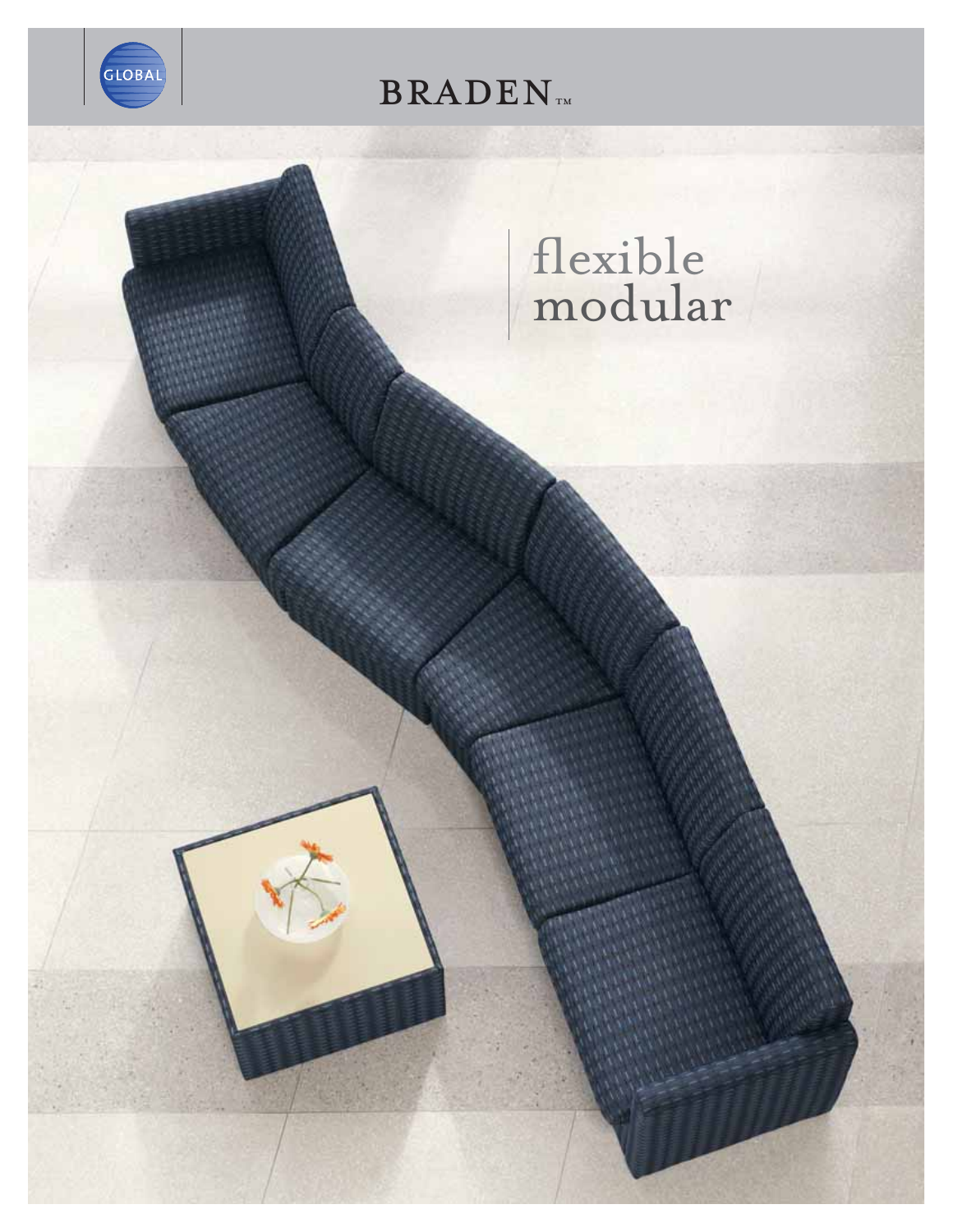

**BRADEN**TM

# flexible<br>modular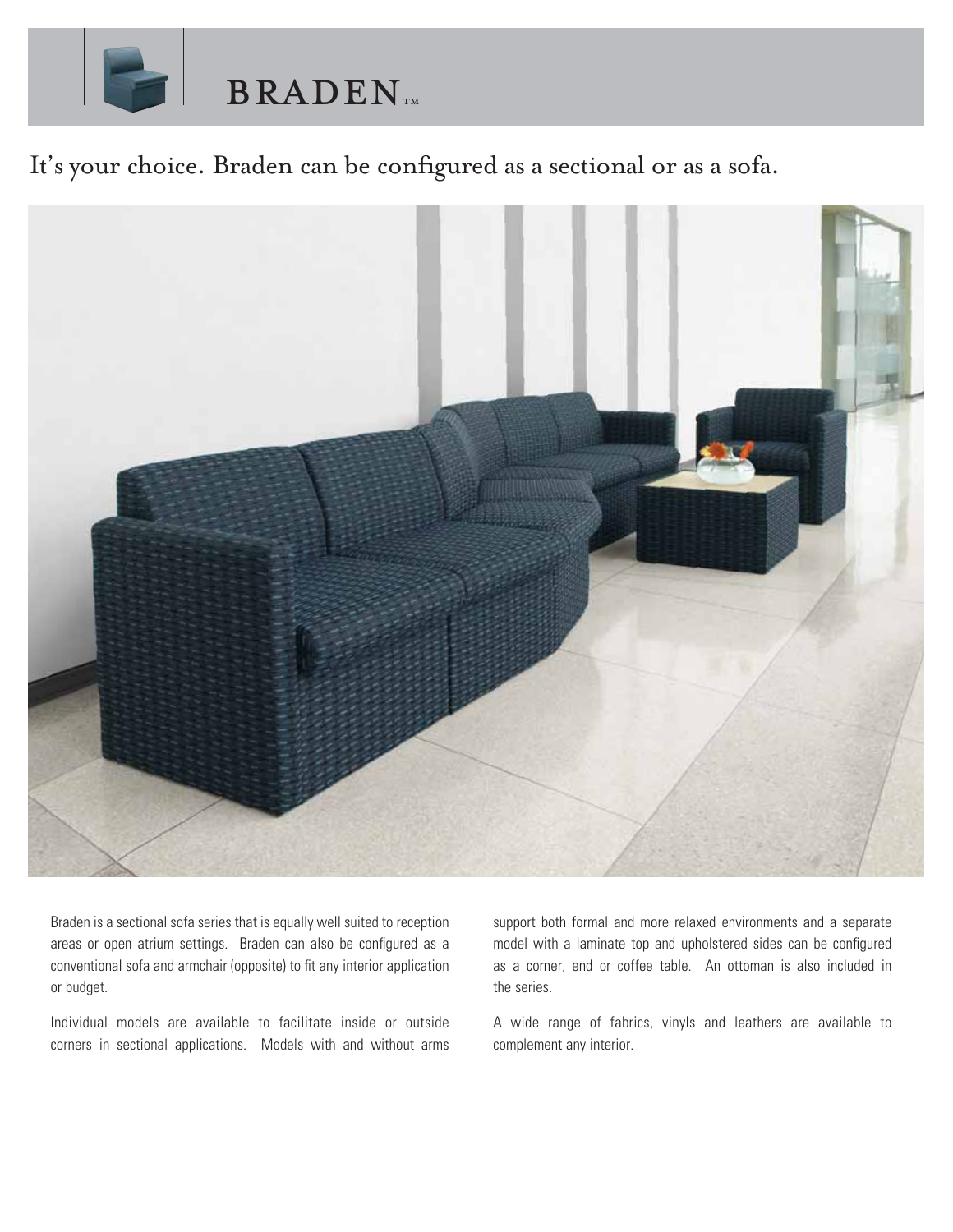

### It's your choice. Braden can be configured as a sectional or as a sofa.



Braden is a sectional sofa series that is equally well suited to reception areas or open atrium settings. Braden can also be configured as a conventional sofa and armchair (opposite) to fit any interior application or budget.

Individual models are available to facilitate inside or outside corners in sectional applications. Models with and without arms support both formal and more relaxed environments and a separate model with a laminate top and upholstered sides can be configured as a corner, end or coffee table. An ottoman is also included in the series.

A wide range of fabrics, vinyls and leathers are available to complement any interior.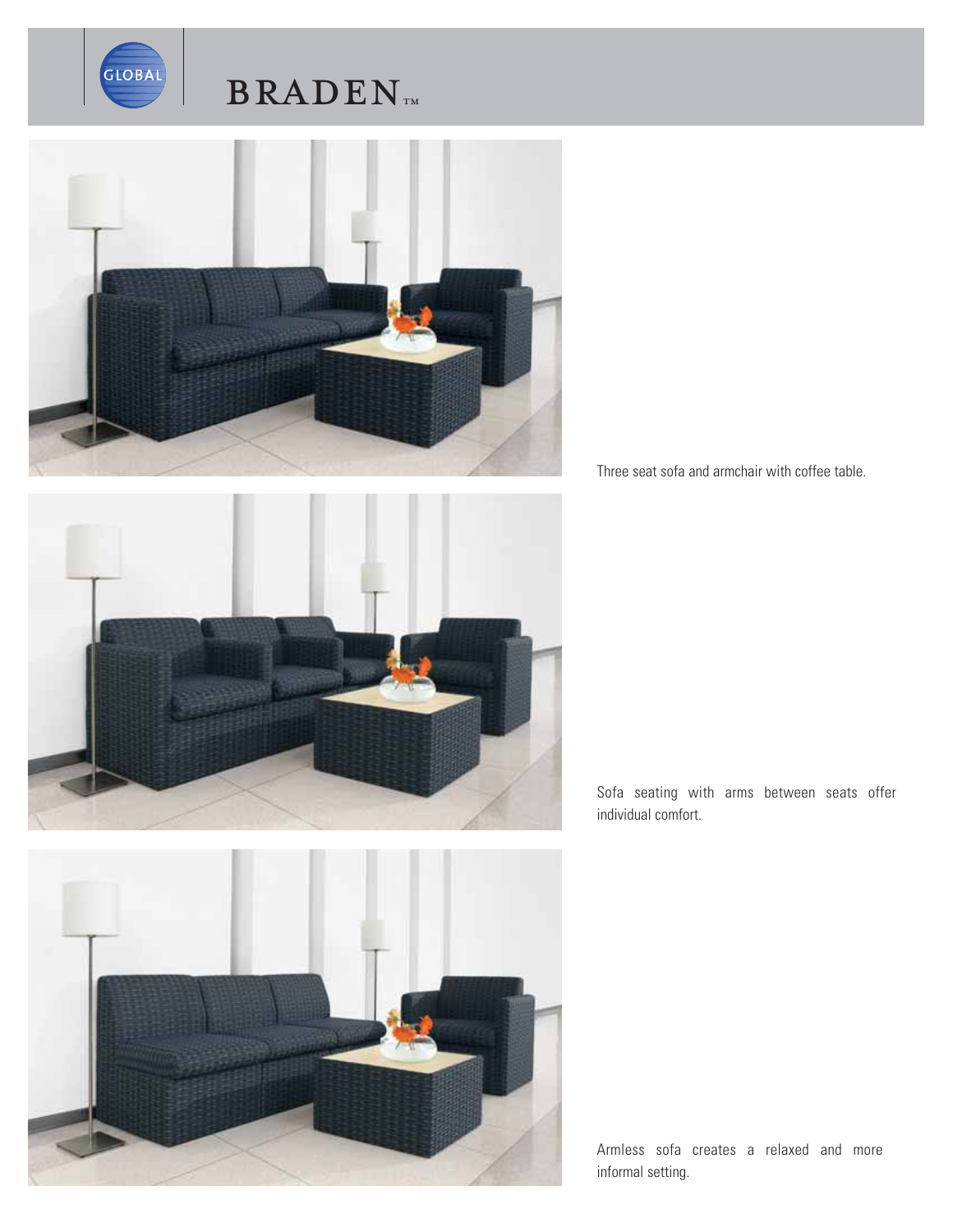

## $\mathbf{BRADEN}_{\text{TM}}$



Three seat sofa and armchair with coffee table.







Armless sofa creates a relaxed and more informal setting.